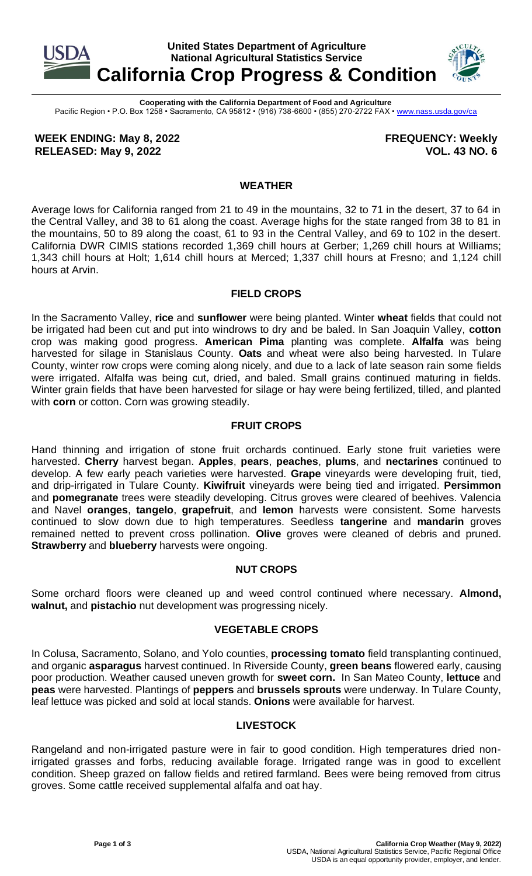

**Cooperating with the California Department of Food and Agriculture** Pacific Region • P.O. Box 1258 • Sacramento, CA 95812 • (916) 738-6600 • (855) 270-2722 FAX [• www.nass.usda.gov/ca](http://www.nass.usda.gov/ca)

**WEEK ENDING: May 8, 2022 RELEASED: May 9, 2022**

**FREQUENCY: Weekly VOL. 43 NO. 6**

# **WEATHER**

Average lows for California ranged from 21 to 49 in the mountains, 32 to 71 in the desert, 37 to 64 in the Central Valley, and 38 to 61 along the coast. Average highs for the state ranged from 38 to 81 in the mountains, 50 to 89 along the coast, 61 to 93 in the Central Valley, and 69 to 102 in the desert. California DWR CIMIS stations recorded 1,369 chill hours at Gerber; 1,269 chill hours at Williams; 1,343 chill hours at Holt; 1,614 chill hours at Merced; 1,337 chill hours at Fresno; and 1,124 chill hours at Arvin.

### **FIELD CROPS**

In the Sacramento Valley, **rice** and **sunflower** were being planted. Winter **wheat** fields that could not be irrigated had been cut and put into windrows to dry and be baled. In San Joaquin Valley, **cotton** crop was making good progress. **American Pima** planting was complete. **Alfalfa** was being harvested for silage in Stanislaus County. **Oats** and wheat were also being harvested. In Tulare County, winter row crops were coming along nicely, and due to a lack of late season rain some fields were irrigated. Alfalfa was being cut, dried, and baled. Small grains continued maturing in fields. Winter grain fields that have been harvested for silage or hay were being fertilized, tilled, and planted with **corn** or cotton. Corn was growing steadily.

# **FRUIT CROPS**

Hand thinning and irrigation of stone fruit orchards continued. Early stone fruit varieties were harvested. **Cherry** harvest began. **Apples**, **pears**, **peaches**, **plums**, and **nectarines** continued to develop. A few early peach varieties were harvested. **Grape** vineyards were developing fruit, tied, and drip-irrigated in Tulare County. **Kiwifruit** vineyards were being tied and irrigated. **Persimmon**  and **pomegranate** trees were steadily developing. Citrus groves were cleared of beehives. Valencia and Navel **oranges**, **tangelo**, **grapefruit**, and **lemon** harvests were consistent. Some harvests continued to slow down due to high temperatures. Seedless **tangerine** and **mandarin** groves remained netted to prevent cross pollination. **Olive** groves were cleaned of debris and pruned. **Strawberry** and **blueberry** harvests were ongoing.

### **NUT CROPS**

Some orchard floors were cleaned up and weed control continued where necessary. **Almond, walnut,** and **pistachio** nut development was progressing nicely.

# **VEGETABLE CROPS**

In Colusa, Sacramento, Solano, and Yolo counties, **processing tomato** field transplanting continued, and organic **asparagus** harvest continued. In Riverside County, **green beans** flowered early, causing poor production. Weather caused uneven growth for **sweet corn.** In San Mateo County, **lettuce** and **peas** were harvested. Plantings of **peppers** and **brussels sprouts** were underway. In Tulare County, leaf lettuce was picked and sold at local stands. **Onions** were available for harvest.

### **LIVESTOCK**

Rangeland and non-irrigated pasture were in fair to good condition. High temperatures dried nonirrigated grasses and forbs, reducing available forage. Irrigated range was in good to excellent condition. Sheep grazed on fallow fields and retired farmland. Bees were being removed from citrus groves. Some cattle received supplemental alfalfa and oat hay.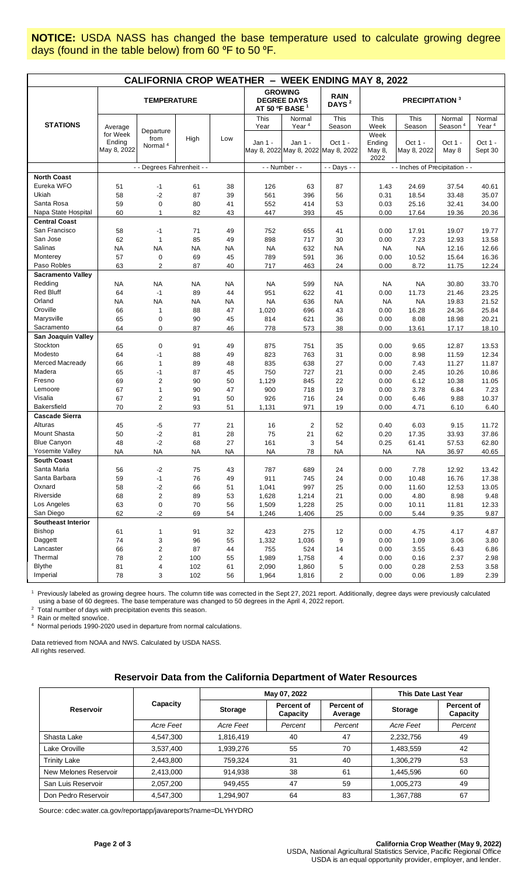**NOTICE:** USDA NASS has changed the base temperature used to calculate growing degree days (found in the table below) from 60 °F to 50 °F.

| <b>CALIFORNIA CROP WEATHER - WEEK ENDING MAY 8, 2022</b> |                                   |                                          |           |           |                                                                    |                                                |                                  |                                  |                        |                               |                             |
|----------------------------------------------------------|-----------------------------------|------------------------------------------|-----------|-----------|--------------------------------------------------------------------|------------------------------------------------|----------------------------------|----------------------------------|------------------------|-------------------------------|-----------------------------|
|                                                          | <b>TEMPERATURE</b>                |                                          |           |           | <b>GROWING</b><br><b>DEGREE DAYS</b><br>AT 50 ºF BASE <sup>1</sup> |                                                | <b>RAIN</b><br>DAYS <sup>2</sup> | <b>PRECIPITATION 3</b>           |                        |                               |                             |
| <b>STATIONS</b>                                          | Average                           |                                          |           |           | This<br>Year                                                       | Normal<br>Year <sup>4</sup>                    | This<br>Season                   | This<br>Week                     | This<br>Season         | Normal<br>Season <sup>4</sup> | Normal<br>Year <sup>4</sup> |
|                                                          | for Week<br>Ending<br>May 8, 2022 | Departure<br>from<br>Normal <sup>4</sup> | High      | Low       | Jan 1 -                                                            | Jan 1 -<br>May 8, 2022 May 8, 2022 May 8, 2022 | Oct 1 -                          | Week<br>Ending<br>May 8,<br>2022 | Oct 1 -<br>May 8, 2022 | Oct 1 -<br>May 8              | Oct 1 -<br>Sept 30          |
|                                                          |                                   | - - Degrees Fahrenheit - -               |           |           | - - Number - -                                                     |                                                | - - Days - -                     | - - Inches of Precipitation - -  |                        |                               |                             |
| <b>North Coast</b>                                       |                                   |                                          |           |           |                                                                    |                                                |                                  |                                  |                        |                               |                             |
| Eureka WFO                                               | 51                                | $-1$                                     | 61        | 38        | 126                                                                | 63                                             | 87                               | 1.43                             | 24.69                  | 37.54                         | 40.61                       |
| Ukiah                                                    | 58                                | $-2$                                     | 87        | 39        | 561                                                                | 396                                            | 56                               | 0.31                             | 18.54                  | 33.48                         | 35.07                       |
| Santa Rosa                                               | 59                                | $\mathbf 0$                              | 80        | 41        | 552                                                                | 414                                            | 53                               | 0.03                             | 25.16                  | 32.41                         | 34.00                       |
| Napa State Hospital                                      | 60                                | $\mathbf{1}$                             | 82        | 43        | 447                                                                | 393                                            | 45                               | 0.00                             | 17.64                  | 19.36                         | 20.36                       |
| <b>Central Coast</b>                                     |                                   |                                          |           |           |                                                                    |                                                |                                  |                                  |                        |                               |                             |
| San Francisco                                            | 58                                | $-1$                                     | 71        | 49        | 752                                                                | 655                                            | 41                               | 0.00                             | 17.91                  | 19.07                         | 19.77                       |
| San Jose                                                 | 62                                | $\mathbf{1}$                             | 85        | 49        | 898                                                                | 717                                            | 30                               | 0.00                             | 7.23                   | 12.93                         | 13.58                       |
| Salinas                                                  | <b>NA</b>                         | <b>NA</b>                                | <b>NA</b> | <b>NA</b> | <b>NA</b>                                                          | 632                                            | <b>NA</b>                        | <b>NA</b>                        | <b>NA</b>              | 12.16                         | 12.66                       |
| Monterey                                                 | 57                                | $\mathbf 0$                              | 69        | 45        | 789                                                                | 591                                            | 36                               | 0.00                             | 10.52                  | 15.64                         | 16.36                       |
| Paso Robles                                              | 63                                | $\overline{2}$                           | 87        | 40        | 717                                                                | 463                                            | 24                               | 0.00                             | 8.72                   | 11.75                         | 12.24                       |
| <b>Sacramento Valley</b>                                 |                                   |                                          |           |           |                                                                    |                                                |                                  |                                  |                        |                               |                             |
| Redding                                                  | <b>NA</b>                         | <b>NA</b>                                | <b>NA</b> | <b>NA</b> | <b>NA</b>                                                          | 599                                            | <b>NA</b>                        | NA                               | <b>NA</b>              | 30.80                         | 33.70                       |
| <b>Red Bluff</b>                                         | 64                                | $-1$                                     | 89        | 44        | 951                                                                | 622                                            | 41                               | 0.00                             | 11.73                  | 21.46                         | 23.25                       |
| Orland                                                   | <b>NA</b>                         | <b>NA</b>                                | ΝA        | NA        | NA                                                                 | 636                                            | <b>NA</b>                        | <b>NA</b>                        | <b>NA</b>              | 19.83                         | 21.52                       |
| Oroville                                                 | 66                                | $\overline{1}$                           | 88        | 47        | 1,020                                                              | 696                                            | 43                               | 0.00                             | 16.28                  | 24.36                         | 25.84                       |
| Marysville                                               | 65                                | $\mathbf 0$                              | 90        | 45        | 814                                                                | 621                                            | 36                               | 0.00                             | 8.08                   | 18.98                         | 20.21                       |
| Sacramento                                               | 64                                | $\mathbf 0$                              | 87        | 46        | 778                                                                | 573                                            | 38                               | 0.00                             | 13.61                  | 17.17                         | 18.10                       |
| San Joaquin Valley                                       |                                   |                                          |           |           |                                                                    |                                                |                                  |                                  |                        |                               |                             |
| Stockton                                                 | 65                                | $\mathbf 0$                              | 91        | 49        | 875                                                                | 751                                            | 35                               | 0.00                             | 9.65                   | 12.87                         | 13.53                       |
| Modesto                                                  | 64                                | $-1$                                     | 88        | 49        | 823                                                                | 763                                            | 31                               | 0.00                             | 8.98                   | 11.59                         | 12.34                       |
| Merced Macready                                          | 66                                | $\mathbf{1}$                             | 89        | 48        | 835                                                                | 638                                            | 27                               | 0.00                             | 7.43                   | 11.27                         | 11.87                       |
| Madera                                                   | 65                                | $-1$                                     | 87        | 45        | 750                                                                | 727                                            | 21                               | 0.00                             | 2.45                   | 10.26                         | 10.86                       |
| Fresno                                                   | 69                                | $\overline{c}$                           | 90        | 50        | 1,129                                                              | 845                                            | 22                               | 0.00                             | 6.12                   | 10.38                         | 11.05                       |
| Lemoore                                                  | 67                                | $\mathbf{1}$                             | 90        | 47        | 900                                                                | 718                                            | 19                               | 0.00                             | 3.78                   | 6.84                          | 7.23                        |
| Visalia                                                  | 67                                | $\boldsymbol{2}$                         | 91        | 50        | 926                                                                | 716                                            | 24                               | 0.00                             | 6.46                   | 9.88                          | 10.37                       |
| <b>Bakersfield</b>                                       | 70                                | $\overline{2}$                           | 93        | 51        | 1,131                                                              | 971                                            | 19                               | 0.00                             | 4.71                   | 6.10                          | 6.40                        |
| <b>Cascade Sierra</b>                                    |                                   |                                          |           |           |                                                                    |                                                |                                  |                                  |                        |                               |                             |
| Alturas                                                  | 45                                | $-5$                                     | 77        | 21        | 16                                                                 | $\overline{2}$                                 | 52                               | 0.40                             | 6.03                   | 9.15                          | 11.72                       |
| Mount Shasta                                             | 50                                | $-2$                                     | 81        | 28        | 75                                                                 | 21                                             | 62                               | 0.20                             | 17.35                  | 33.93                         | 37.86                       |
| <b>Blue Canyon</b>                                       | 48                                | $-2$                                     | 68        | 27        | 161                                                                | 3                                              | 54                               | 0.25                             | 61.41                  | 57.53                         | 62.80                       |
| Yosemite Valley                                          | <b>NA</b>                         | <b>NA</b>                                | <b>NA</b> | <b>NA</b> | <b>NA</b>                                                          | 78                                             | <b>NA</b>                        | <b>NA</b>                        | <b>NA</b>              | 36.97                         | 40.65                       |
| <b>South Coast</b>                                       |                                   |                                          |           |           |                                                                    |                                                |                                  |                                  |                        |                               |                             |
| Santa Maria                                              | 56                                | $-2$                                     | 75        | 43        | 787                                                                | 689                                            | 24                               | 0.00                             | 7.78                   | 12.92                         | 13.42                       |
| Santa Barbara                                            | 59                                | $-1$                                     | 76        | 49        | 911                                                                | 745                                            | 24                               | 0.00                             | 10.48                  | 16.76                         | 17.38                       |
| Oxnard                                                   | 58                                | $-2$                                     | 66        | 51        | 1,041                                                              | 997                                            | 25                               | 0.00                             | 11.60                  | 12.53                         | 13.05                       |
| Riverside                                                | 68                                | $\boldsymbol{2}$                         | 89        | 53        | 1,628                                                              | 1,214                                          | 21                               | 0.00                             | 4.80                   | 8.98                          | 9.48                        |
| Los Angeles                                              | 63                                | 0                                        | 70        | 56        | 1,509                                                              | 1,228                                          | 25                               | 0.00                             | 10.11                  | 11.81                         | 12.33                       |
| San Diego                                                | 62                                | $-2$                                     | 69        | 54        | 1,246                                                              | 1,406                                          | 25                               | 0.00                             | 5.44                   | 9.35                          | 9.87                        |
| <b>Southeast Interior</b>                                |                                   |                                          |           |           |                                                                    |                                                |                                  |                                  |                        |                               |                             |
| <b>Bishop</b>                                            | 61                                | $\mathbf{1}$                             | 91        | 32        | 423                                                                | 275                                            | 12                               | 0.00                             | 4.75                   | 4.17                          | 4.87                        |
| Daggett                                                  | 74                                | $\ensuremath{\mathsf{3}}$                | 96        | 55        | 1,332                                                              | 1,036                                          | 9                                | 0.00                             | 1.09                   | 3.06                          | 3.80                        |
| Lancaster                                                | 66                                | $\boldsymbol{2}$                         | 87        | 44        | 755                                                                | 524                                            | 14                               | 0.00                             | 3.55                   | 6.43                          | 6.86                        |
| Thermal                                                  | 78                                | $\overline{c}$                           | 100       | 55        | 1,989                                                              | 1,758                                          | 4                                | 0.00                             | 0.16                   | 2.37                          | 2.98                        |
| <b>Blythe</b>                                            | 81                                | 4                                        | 102       | 61        | 2,090                                                              | 1,860                                          | 5                                | 0.00                             | 0.28                   | 2.53                          | 3.58                        |
| Imperial                                                 | 78                                | $\ensuremath{\mathsf{3}}$                | 102       | 56        | 1,964                                                              | 1,816                                          | $\overline{c}$                   | 0.00                             | 0.06                   | 1.89                          | 2.39                        |

<sup>1</sup> Previously labeled as growing degree hours. The column title was corrected in the Sept 27, 2021 report. Additionally, degree days were previously calculated using a base of 60 degrees. The base temperature was changed to 50 degrees in the April 4, 2022 report.

<sup>2</sup> Total number of days with precipitation events this season.

3 Rain or melted snow/ice.

4 Normal periods 1990-2020 used in departure from normal calculations.

Data retrieved from NOAA and NWS. Calculated by USDA NASS. All rights reserved.

### **Reservoir Data from the California Department of Water Resources**

|                       |           |           | May 07, 2022           | This Date Last Year   |                |                               |  |
|-----------------------|-----------|-----------|------------------------|-----------------------|----------------|-------------------------------|--|
| <b>Reservoir</b>      | Capacity  | Storage   | Percent of<br>Capacity | Percent of<br>Average | <b>Storage</b> | <b>Percent of</b><br>Capacity |  |
|                       | Acre Feet | Acre Feet | Percent                | Percent               | Acre Feet      | Percent                       |  |
| Shasta Lake           | 4,547,300 | 1,816,419 | 40                     | 47                    | 2,232,756      | 49                            |  |
| Lake Oroville         | 3,537,400 | 1,939,276 | 55                     | 70                    | 1,483,559      | 42                            |  |
| <b>Trinity Lake</b>   | 2,443,800 | 759.324   | 31                     | 40                    | 1,306,279      | 53                            |  |
| New Melones Reservoir | 2,413,000 | 914.938   | 38                     | 61                    | 1,445,596      | 60                            |  |
| San Luis Reservoir    | 2,057,200 | 949,455   | 47                     | 59                    | 1,005,273      | 49                            |  |
| Don Pedro Reservoir   | 4,547,300 | 1,294,907 | 64                     | 83                    | 1,367,788      | 67                            |  |

Source[: cdec.water.ca.gov/reportapp/javareports?name=DLYHYDRO](https://cdec.water.ca.gov/reportapp/javareports?name=DLYHYDRO)